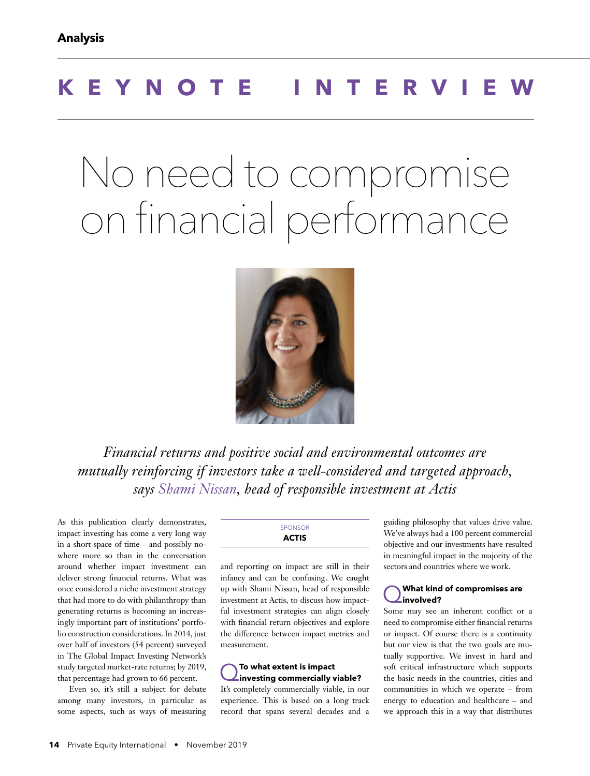# **KEYNOTE INTERVIEW**

# No need to compromise on financial performance



*Financial returns and positive social and environmental outcomes are mutually reinforcing if investors take a well-considered and targeted approach, says Shami Nissan, head of responsible investment at Actis*

As this publication clearly demonstrates, impact investing has come a very long way in a short space of time – and possibly nowhere more so than in the conversation around whether impact investment can deliver strong financial returns. What was once considered a niche investment strategy that had more to do with philanthropy than generating returns is becoming an increasingly important part of institutions' portfolio construction considerations. In 2014, just over half of investors (54 percent) surveyed in The Global Impact Investing Network's study targeted market-rate returns; by 2019, that percentage had grown to 66 percent.

Even so, it's still a subject for debate among many investors, in particular as some aspects, such as ways of measuring **SPONSOR ACTIS**

and reporting on impact are still in their infancy and can be confusing. We caught up with Shami Nissan, head of responsible investment at Actis, to discuss how impactful investment strategies can align closely with financial return objectives and explore the difference between impact metrics and measurement.

# Q**To what extent is impact investing commercially viable?**

It's completely commercially viable, in our experience. This is based on a long track record that spans several decades and a guiding philosophy that values drive value. We've always had a 100 percent commercial objective and our investments have resulted in meaningful impact in the majority of the sectors and countries where we work.

#### Q**What kind of compromises are involved?**

Some may see an inherent conflict or a need to compromise either financial returns or impact. Of course there is a continuity but our view is that the two goals are mutually supportive. We invest in hard and soft critical infrastructure which supports the basic needs in the countries, cities and communities in which we operate – from energy to education and healthcare – and we approach this in a way that distributes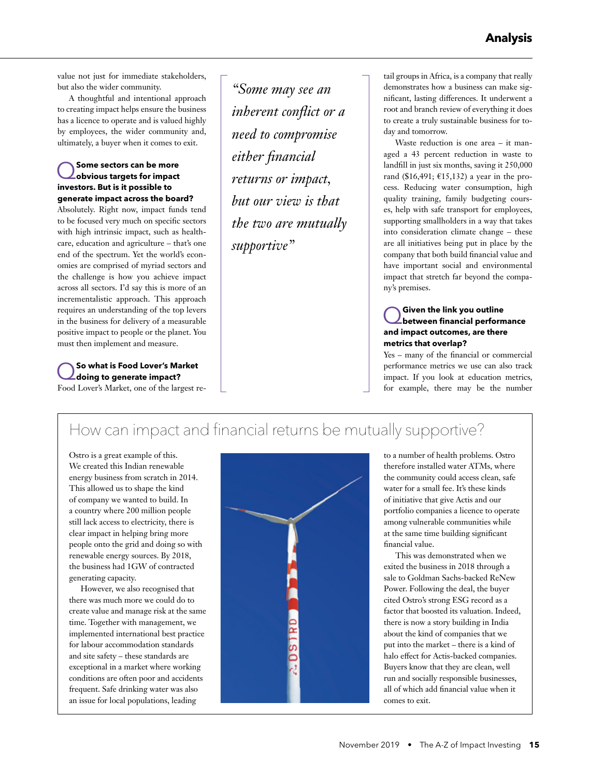value not just for immediate stakeholders, but also the wider community.

A thoughtful and intentional approach to creating impact helps ensure the business has a licence to operate and is valued highly by employees, the wider community and, ultimately, a buyer when it comes to exit.

#### Q**Some sectors can be more obvious targets for impact investors. But is it possible to generate impact across the board?**

Absolutely. Right now, impact funds tend to be focused very much on specific sectors with high intrinsic impact, such as healthcare, education and agriculture – that's one end of the spectrum. Yet the world's economies are comprised of myriad sectors and the challenge is how you achieve impact across all sectors. I'd say this is more of an incrementalistic approach. This approach requires an understanding of the top levers in the business for delivery of a measurable positive impact to people or the planet. You must then implement and measure.

#### Q**So what is Food Lover's Market doing to generate impact?** Food Lover's Market, one of the largest re-

*"Some may see an inherent conflict or a need to compromise either financial returns or impact, but our view is that the two are mutually supportive"*

tail groups in Africa, is a company that really demonstrates how a business can make significant, lasting differences. It underwent a root and branch review of everything it does to create a truly sustainable business for today and tomorrow.

Waste reduction is one area – it managed a 43 percent reduction in waste to landfill in just six months, saving it 250,000 rand (\$16,491; €15,132) a year in the process. Reducing water consumption, high quality training, family budgeting courses, help with safe transport for employees, supporting smallholders in a way that takes into consideration climate change – these are all initiatives being put in place by the company that both build financial value and have important social and environmental impact that stretch far beyond the company's premises.

### Q**Given the link you outline between financial performance and impact outcomes, are there metrics that overlap?**

Yes – many of the financial or commercial performance metrics we use can also track impact. If you look at education metrics, for example, there may be the number

## How can impact and financial returns be mutually supportive?

Ostro is a great example of this. We created this Indian renewable energy business from scratch in 2014. This allowed us to shape the kind of company we wanted to build. In a country where 200 million people still lack access to electricity, there is clear impact in helping bring more people onto the grid and doing so with renewable energy sources. By 2018, the business had 1GW of contracted generating capacity.

However, we also recognised that there was much more we could do to create value and manage risk at the same time. Together with management, we implemented international best practice for labour accommodation standards and site safety – these standards are exceptional in a market where working conditions are often poor and accidents frequent. Safe drinking water was also an issue for local populations, leading



to a number of health problems. Ostro therefore installed water ATMs, where the community could access clean, safe water for a small fee. It's these kinds of initiative that give Actis and our portfolio companies a licence to operate among vulnerable communities while at the same time building significant financial value.

This was demonstrated when we exited the business in 2018 through a sale to Goldman Sachs-backed ReNew Power. Following the deal, the buyer cited Ostro's strong ESG record as a factor that boosted its valuation. Indeed, there is now a story building in India about the kind of companies that we put into the market – there is a kind of halo effect for Actis-backed companies. Buyers know that they are clean, well run and socially responsible businesses, all of which add financial value when it comes to exit.